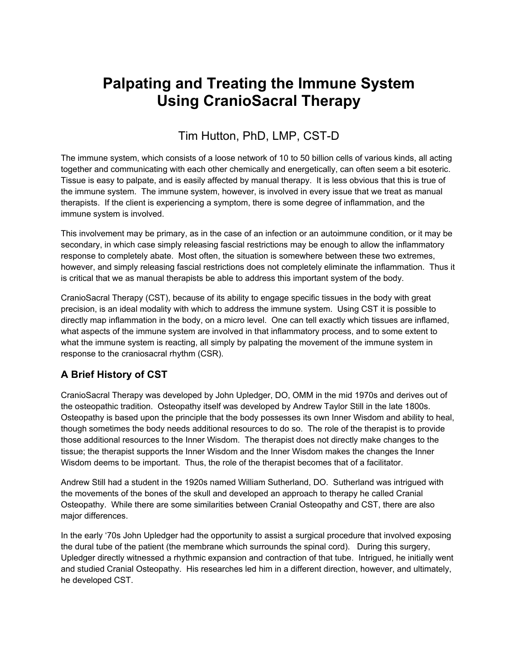# **Palpating and Treating the Immune System Using CranioSacral Therapy**

## Tim Hutton, PhD, LMP, CST-D

The immune system, which consists of a loose network of 10 to 50 billion cells of various kinds, all acting together and communicating with each other chemically and energetically, can often seem a bit esoteric. Tissue is easy to palpate, and is easily affected by manual therapy. It is less obvious that this is true of the immune system. The immune system, however, is involved in every issue that we treat as manual therapists. If the client is experiencing a symptom, there is some degree of inflammation, and the immune system is involved.

This involvement may be primary, as in the case of an infection or an autoimmune condition, or it may be secondary, in which case simply releasing fascial restrictions may be enough to allow the inflammatory response to completely abate. Most often, the situation is somewhere between these two extremes, however, and simply releasing fascial restrictions does not completely eliminate the inflammation. Thus it is critical that we as manual therapists be able to address this important system of the body.

CranioSacral Therapy (CST), because of its ability to engage specific tissues in the body with great precision, is an ideal modality with which to address the immune system. Using CST it is possible to directly map inflammation in the body, on a micro level. One can tell exactly which tissues are inflamed, what aspects of the immune system are involved in that inflammatory process, and to some extent to what the immune system is reacting, all simply by palpating the movement of the immune system in response to the craniosacral rhythm (CSR).

#### **A Brief History of CST**

CranioSacral Therapy was developed by John Upledger, DO, OMM in the mid 1970s and derives out of the osteopathic tradition. Osteopathy itself was developed by Andrew Taylor Still in the late 1800s. Osteopathy is based upon the principle that the body possesses its own Inner Wisdom and ability to heal, though sometimes the body needs additional resources to do so. The role of the therapist is to provide those additional resources to the Inner Wisdom. The therapist does not directly make changes to the tissue; the therapist supports the Inner Wisdom and the Inner Wisdom makes the changes the Inner Wisdom deems to be important. Thus, the role of the therapist becomes that of a facilitator.

Andrew Still had a student in the 1920s named William Sutherland, DO. Sutherland was intrigued with the movements of the bones of the skull and developed an approach to therapy he called Cranial Osteopathy. While there are some similarities between Cranial Osteopathy and CST, there are also major differences.

In the early '70s John Upledger had the opportunity to assist a surgical procedure that involved exposing the dural tube of the patient (the membrane which surrounds the spinal cord). During this surgery, Upledger directly witnessed a rhythmic expansion and contraction of that tube. Intrigued, he initially went and studied Cranial Osteopathy. His researches led him in a different direction, however, and ultimately, he developed CST.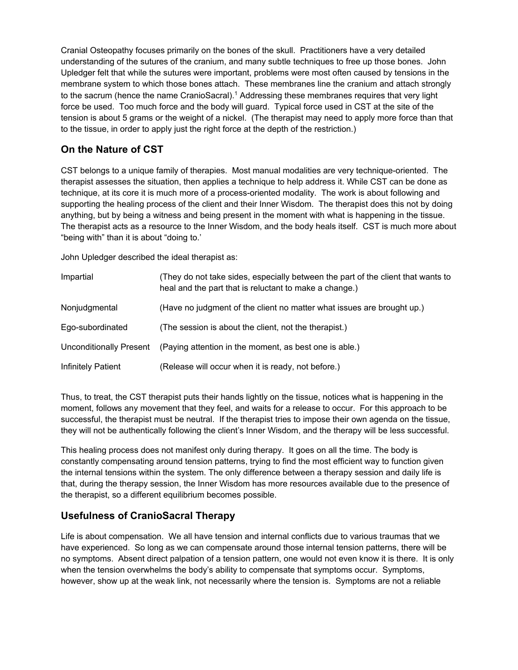Cranial Osteopathy focuses primarily on the bones of the skull. Practitioners have a very detailed understanding of the sutures of the cranium, and many subtle techniques to free up those bones. John Upledger felt that while the sutures were important, problems were most often caused by tensions in the membrane system to which those bones attach. These membranes line the cranium and attach strongly to the sacrum (hence the name CranioSacral).1 Addressing these membranes requires that very light force be used. Too much force and the body will guard. Typical force used in CST at the site of the tension is about 5 grams or the weight of a nickel. (The therapist may need to apply more force than that to the tissue, in order to apply just the right force at the depth of the restriction.)

#### **On the Nature of CST**

CST belongs to a unique family of therapies. Most manual modalities are very technique-oriented. The therapist assesses the situation, then applies a technique to help address it. While CST can be done as technique, at its core it is much more of a process-oriented modality. The work is about following and supporting the healing process of the client and their Inner Wisdom. The therapist does this not by doing anything, but by being a witness and being present in the moment with what is happening in the tissue. The therapist acts as a resource to the Inner Wisdom, and the body heals itself. CST is much more about "being with" than it is about "doing to.'

John Upledger described the ideal therapist as:

| Impartial               | (They do not take sides, especially between the part of the client that wants to<br>heal and the part that is reluctant to make a change.) |
|-------------------------|--------------------------------------------------------------------------------------------------------------------------------------------|
| Nonjudgmental           | (Have no judgment of the client no matter what issues are brought up.)                                                                     |
| Ego-subordinated        | (The session is about the client, not the therapist.)                                                                                      |
| Unconditionally Present | (Paying attention in the moment, as best one is able.)                                                                                     |
| Infinitely Patient      | (Release will occur when it is ready, not before.)                                                                                         |

Thus, to treat, the CST therapist puts their hands lightly on the tissue, notices what is happening in the moment, follows any movement that they feel, and waits for a release to occur. For this approach to be successful, the therapist must be neutral. If the therapist tries to impose their own agenda on the tissue, they will not be authentically following the client's Inner Wisdom, and the therapy will be less successful.

This healing process does not manifest only during therapy. It goes on all the time. The body is constantly compensating around tension patterns, trying to find the most efficient way to function given the internal tensions within the system. The only difference between a therapy session and daily life is that, during the therapy session, the Inner Wisdom has more resources available due to the presence of the therapist, so a different equilibrium becomes possible.

## **Usefulness of CranioSacral Therapy**

Life is about compensation. We all have tension and internal conflicts due to various traumas that we have experienced. So long as we can compensate around those internal tension patterns, there will be no symptoms. Absent direct palpation of a tension pattern, one would not even know it is there. It is only when the tension overwhelms the body's ability to compensate that symptoms occur. Symptoms, however, show up at the weak link, not necessarily where the tension is. Symptoms are not a reliable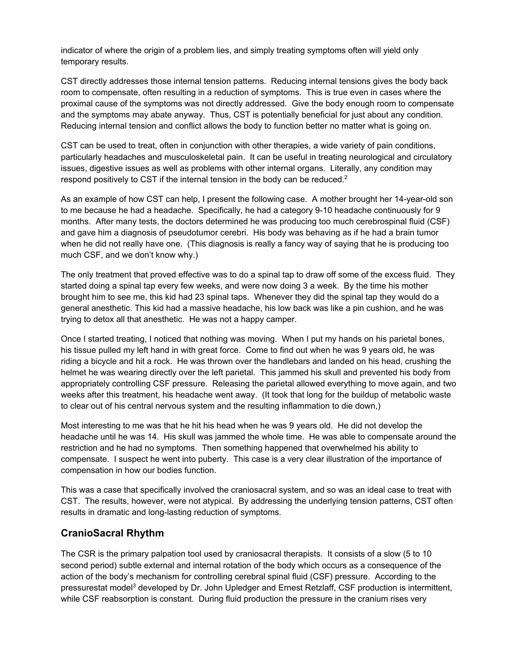indicator of where the origin of a problem lies, and simply treating symptoms often will yield only temporary results.

CST directly addresses those internal tension patterns. Reducing internal tensions gives the body back room to compensate, often resulting in a reduction of symptoms. This is true even in cases where the proximal cause of the symptoms was not directly addressed. Give the body enough room to compensate and the symptoms may abate anyway. Thus, CST is potentially beneficial for just about any condition. Reducing internal tension and conflict allows the body to function better no matter what is going on.

CST can be used to treat, often in conjunction with other therapies, a wide variety of pain conditions, particularly headaches and musculoskeletal pain. It can be useful in treating neurological and circulatory issues, digestive issues as well as problems with other internal organs. Literally, any condition may respond positively to CST if the internal tension in the body can be reduced.<sup>2</sup>

As an example of how CST can help, I present the following case. A mother brought her 14-year-old son to me because he had a headache. Specifically, he had a category 9-10 headache continuously for 9 months. After many tests, the doctors determined he was producing too much cerebrospinal fluid (CSF) and gave him a diagnosis of pseudotumor cerebri. His body was behaving as if he had a brain tumor when he did not really have one. (This diagnosis is really a fancy way of saying that he is producing too much CSF, and we don't know why.)

The only treatment that proved effective was to do a spinal tap to draw off some of the excess fluid. They started doing a spinal tap every few weeks, and were now doing 3 a week. By the time his mother brought him to see me, this kid had 23 spinal taps. Whenever they did the spinal tap they would do a general anesthetic. This kid had a massive headache, his low back was like a pin cushion, and he was trying to detox all that anesthetic. He was not a happy camper.

Once I started treating, I noticed that nothing was moving. When I put my hands on his parietal bones, his tissue pulled my left hand in with great force. Come to find out when he was 9 years old, he was riding a bicycle and hit a rock. He was thrown over the handlebars and landed on his head, crushing the helmet he was wearing directly over the left parietal. This jammed his skull and prevented his body from appropriately controlling CSF pressure. Releasing the parietal allowed everything to move again, and two weeks after this treatment, his headache went away. (It took that long for the buildup of metabolic waste to clear out of his central nervous system and the resulting inflammation to die down,)

Most interesting to me was that he hit his head when he was 9 years old. He did not develop the headache until he was 14. His skull was jammed the whole time. He was able to compensate around the restriction and he had no symptoms. Then something happened that overwhelmed his ability to compensate. I suspect he went into puberty. This case is a very clear illustration of the importance of compensation in how our bodies function.

This was a case that specifically involved the craniosacral system, and so was an ideal case to treat with CST. The results, however, were not atypical. By addressing the underlying tension patterns, CST often results in dramatic and long-lasting reduction of symptoms.

#### **CranioSacral Rhythm**

The CSR is the primary palpation tool used by craniosacral therapists. It consists of a slow (5 to 10 second period) subtle external and internal rotation of the body which occurs as a consequence of the action of the body's mechanism for controlling cerebral spinal fluid (CSF) pressure. According to the pressurestat model3 developed by Dr. John Upledger and Ernest Retzlaff, CSF production is intermittent, while CSF reabsorption is constant. During fluid production the pressure in the cranium rises very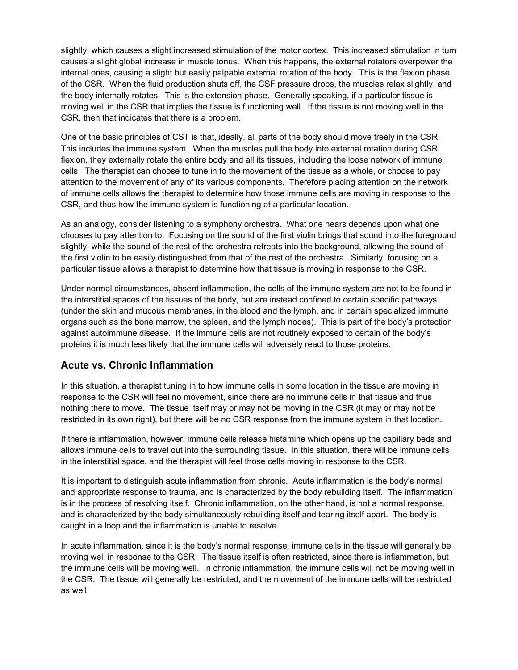slightly, which causes a slight increased stimulation of the motor cortex. This increased stimulation in turn causes a slight global increase in muscle tonus. When this happens, the external rotators overpower the internal ones, causing a slight but easily palpable external rotation of the body. This is the flexion phase of the CSR. When the fluid production shuts off, the CSF pressure drops, the muscles relax slightly, and the body internally rotates. This is the extension phase. Generally speaking, if a particular tissue is moving well in the CSR that implies the tissue is functioning well. If the tissue is not moving well in the CSR, then that indicates that there is a problem.

One of the basic principles of CST is that, ideally, all parts of the body should move freely in the CSR. This includes the immune system. When the muscles pull the body into external rotation during CSR flexion, they externally rotate the entire body and all its tissues, including the loose network of immune cells. The therapist can choose to tune in to the movement of the tissue as a whole, or choose to pay attention to the movement of any of its various components. Therefore placing attention on the network of immune cells allows the therapist to determine how those immune cells are moving in response to the CSR, and thus how the immune system is functioning at a particular location.

As an analogy, consider listening to a symphony orchestra. What one hears depends upon what one chooses to pay attention to. Focusing on the sound of the first violin brings that sound into the foreground slightly, while the sound of the rest of the orchestra retreats into the background, allowing the sound of the first violin to be easily distinguished from that of the rest of the orchestra. Similarly, focusing on a particular tissue allows a therapist to determine how that tissue is moving in response to the CSR.

Under normal circumstances, absent inflammation, the cells of the immune system are not to be found in the interstitial spaces of the tissues of the body, but are instead confined to certain specific pathways (under the skin and mucous membranes, in the blood and the lymph, and in certain specialized immune organs such as the bone marrow, the spleen, and the lymph nodes). This is part of the body's protection against autoimmune disease. If the immune cells are not routinely exposed to certain of the body's proteins it is much less likely that the immune cells will adversely react to those proteins.

#### **Acute vs. Chronic Inflammation**

In this situation, a therapist tuning in to how immune cells in some location in the tissue are moving in response to the CSR will feel no movement, since there are no immune cells in that tissue and thus nothing there to move. The tissue itself may or may not be moving in the CSR (it may or may not be restricted in its own right), but there will be no CSR response from the immune system in that location.

If there is inflammation, however, immune cells release histamine which opens up the capillary beds and allows immune cells to travel out into the surrounding tissue. In this situation, there will be immune cells in the interstitial space, and the therapist will feel those cells moving in response to the CSR.

It is important to distinguish acute inflammation from chronic. Acute inflammation is the body's normal and appropriate response to trauma, and is characterized by the body rebuilding itself. The inflammation is in the process of resolving itself. Chronic inflammation, on the other hand, is not a normal response, and is characterized by the body simultaneously rebuilding itself and tearing itself apart. The body is caught in a loop and the inflammation is unable to resolve.

In acute inflammation, since it is the body's normal response, immune cells in the tissue will generally be moving well in response to the CSR. The tissue itself is often restricted, since there is inflammation, but the immune cells will be moving well. In chronic inflammation, the immune cells will not be moving well in the CSR. The tissue will generally be restricted, and the movement of the immune cells will be restricted as well.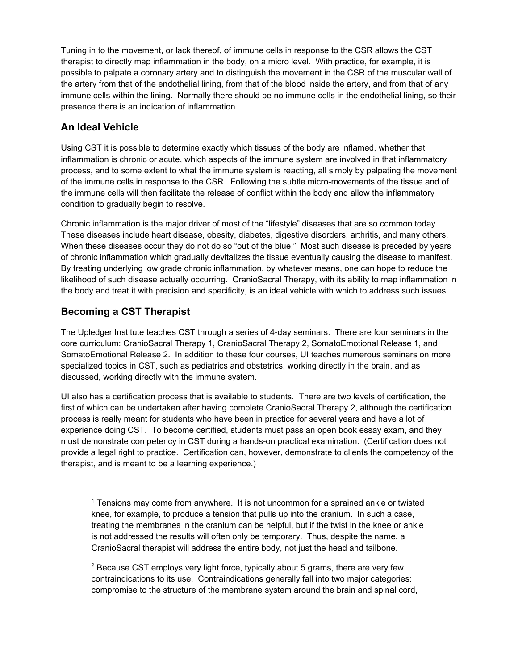Tuning in to the movement, or lack thereof, of immune cells in response to the CSR allows the CST therapist to directly map inflammation in the body, on a micro level. With practice, for example, it is possible to palpate a coronary artery and to distinguish the movement in the CSR of the muscular wall of the artery from that of the endothelial lining, from that of the blood inside the artery, and from that of any immune cells within the lining. Normally there should be no immune cells in the endothelial lining, so their presence there is an indication of inflammation.

#### **An Ideal Vehicle**

Using CST it is possible to determine exactly which tissues of the body are inflamed, whether that inflammation is chronic or acute, which aspects of the immune system are involved in that inflammatory process, and to some extent to what the immune system is reacting, all simply by palpating the movement of the immune cells in response to the CSR. Following the subtle micro-movements of the tissue and of the immune cells will then facilitate the release of conflict within the body and allow the inflammatory condition to gradually begin to resolve.

Chronic inflammation is the major driver of most of the "lifestyle" diseases that are so common today. These diseases include heart disease, obesity, diabetes, digestive disorders, arthritis, and many others. When these diseases occur they do not do so "out of the blue." Most such disease is preceded by years of chronic inflammation which gradually devitalizes the tissue eventually causing the disease to manifest. By treating underlying low grade chronic inflammation, by whatever means, one can hope to reduce the likelihood of such disease actually occurring. CranioSacral Therapy, with its ability to map inflammation in the body and treat it with precision and specificity, is an ideal vehicle with which to address such issues.

## **Becoming a CST Therapist**

The Upledger Institute teaches CST through a series of 4-day seminars. There are four seminars in the core curriculum: CranioSacral Therapy 1, CranioSacral Therapy 2, SomatoEmotional Release 1, and SomatoEmotional Release 2. In addition to these four courses, UI teaches numerous seminars on more specialized topics in CST, such as pediatrics and obstetrics, working directly in the brain, and as discussed, working directly with the immune system.

UI also has a certification process that is available to students. There are two levels of certification, the first of which can be undertaken after having complete CranioSacral Therapy 2, although the certification process is really meant for students who have been in practice for several years and have a lot of experience doing CST. To become certified, students must pass an open book essay exam, and they must demonstrate competency in CST during a hands-on practical examination. (Certification does not provide a legal right to practice. Certification can, however, demonstrate to clients the competency of the therapist, and is meant to be a learning experience.)

1 Tensions may come from anywhere. It is not uncommon for a sprained ankle or twisted knee, for example, to produce a tension that pulls up into the cranium. In such a case, treating the membranes in the cranium can be helpful, but if the twist in the knee or ankle is not addressed the results will often only be temporary. Thus, despite the name, a CranioSacral therapist will address the entire body, not just the head and tailbone.

2 Because CST employs very light force, typically about 5 grams, there are very few contraindications to its use. Contraindications generally fall into two major categories: compromise to the structure of the membrane system around the brain and spinal cord,